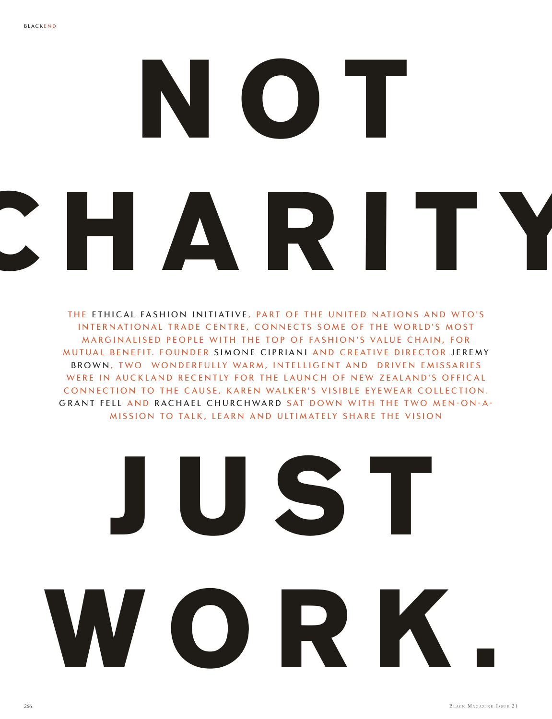## **NOT CHARITY**

THE ETHICAL FASHION INITIATIVE, PART OF THE UNITED NATIONS AND WTO'S INTERNATIONAL TRADE CENTRE, CONNECTS SOME OF THE WORLD'S MOST MARGINALISED PEOPLE WITH THE TOP OF FASHION'S VALUE CHAIN, FOR MUTUAL BENEFIT. FOUNDER SIMONE CIPRIANI AND CREATIVE DIRECTOR JEREMY BROWN, TWO WONDERFULLY WARM, INTELLIGENT AND DRIVEN EMISSARIES WERE IN AUCKLAND RECENTLY FOR THE LAUNCH OF NEW ZEALAND'S OFFICAL CONNECTION TO THE CAUSE, KAREN WALKER'S VISIBLE EYEWEAR COLLECTION. GRANT FELL AND RACHAEL CHURCHWARD SAT DOWN WITH THE TWO MEN-ON-A-MISSION TO TALK, LEARN AND ULTIMATELY SHARE THE VISION

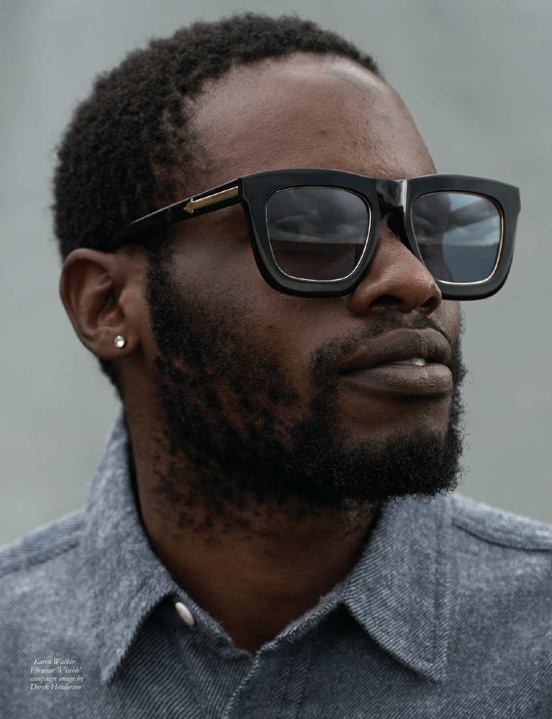**WORK.** *Karen Walker Eyewear 'Visible' campaign image by Derek Henderson*

267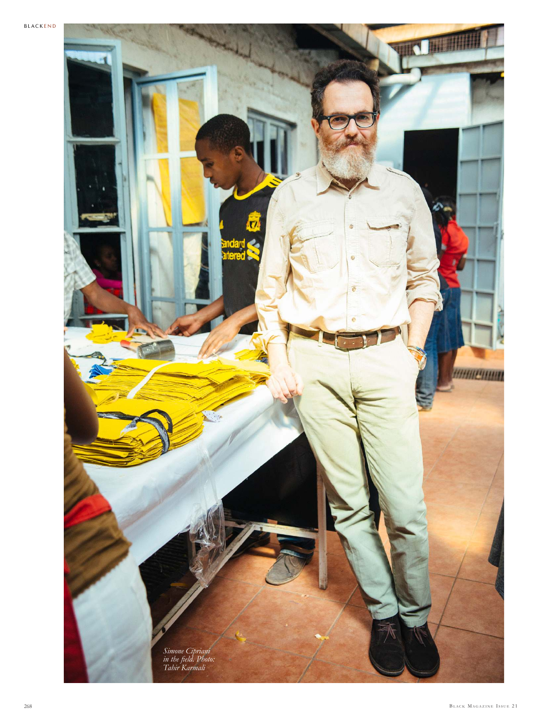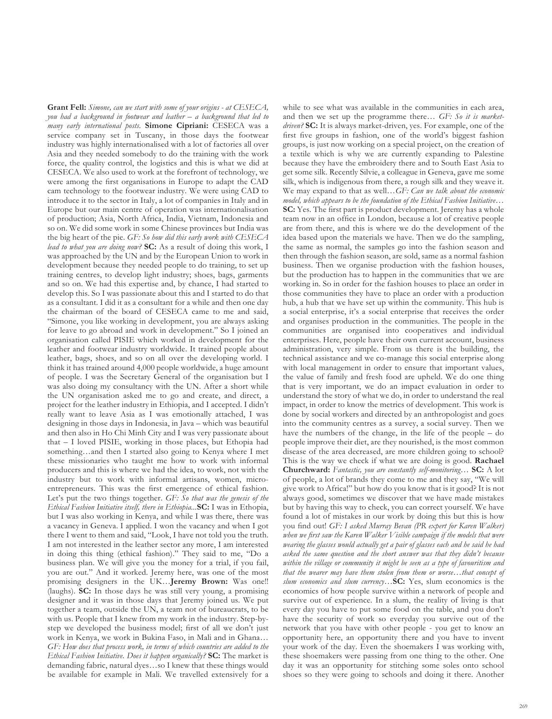**Grant Fell:** *Simone, can we start with some of your origins - at CESECA, you had a background in footwear and leather – a background that led to many early international posts.* **Simone Cipriani:** CESECA was a service company set in Tuscany, in those days the footwear industry was highly internationalised with a lot of factories all over Asia and they needed somebody to do the training with the work force, the quality control, the logistics and this is what we did at CESECA. We also used to work at the forefront of technology, we were among the first organisations in Europe to adapt the CAD cam technology to the footwear industry. We were using CAD to introduce it to the sector in Italy, a lot of companies in Italy and in Europe but our main centre of operation was internationalisation of production; Asia, North Africa, India, Vietnam, Indonesia and so on. We did some work in some Chinese provinces but India was the big heart of the pie. *GF: So how did this early work with CESECA lead to what you are doing now?* **SC:** As a result of doing this work, I was approached by the UN and by the European Union to work in development because they needed people to do training, to set up training centres, to develop light industry; shoes, bags, garments and so on. We had this expertise and, by chance, I had started to develop this. So I was passionate about this and I started to do that as a consultant. I did it as a consultant for a while and then one day the chairman of the board of CESECA came to me and said, "Simone, you like working in development, you are always asking for leave to go abroad and work in development." So I joined an organisation called PISIE which worked in development for the leather and footwear industry worldwide. It trained people about leather, bags, shoes, and so on all over the developing world. I think it has trained around 4,000 people worldwide, a huge amount of people. I was the Secretary General of the organisation but I was also doing my consultancy with the UN. After a short while the UN organisation asked me to go and create, and direct, a project for the leather industry in Ethiopia, and I accepted. I didn't really want to leave Asia as I was emotionally attached, I was designing in those days in Indonesia, in Java – which was beautiful and then also in Ho Chi Minh City and I was very passionate about that – I loved PISIE, working in those places, but Ethopia had something…and then I started also going to Kenya where I met these missionaries who taught me how to work with informal producers and this is where we had the idea, to work, not with the industry but to work with informal artisans, women, microentrepreneurs. This was the first emergence of ethical fashion. Let's put the two things together. *GF: So that was the genesis of the Ethical Fashion Initiative itself, there in Ethiopia...***SC:** I was in Ethopia, but I was also working in Kenya, and while I was there, there was a vacancy in Geneva. I applied. I won the vacancy and when I got there I went to them and said, "Look, I have not told you the truth. I am not interested in the leather sector any more, I am interested in doing this thing (ethical fashion)." They said to me, "Do a business plan. We will give you the money for a trial, if you fail, you are out." And it worked. Jeremy here, was one of the most promising designers in the UK…**Jeremy Brown:** Was one!! (laughs). **SC:** In those days he was still very young, a promising designer and it was in those days that Jeremy joined us. We put together a team, outside the UN, a team not of bureaucrats, to be with us. People that I knew from my work in the industry. Step-bystep we developed the business model; first of all we don't just work in Kenya, we work in Bukina Faso, in Mali and in Ghana… *GF: How does that process work, in terms of which countries are added to the Ethical Fashion Initiative. Does it happen organically?* **SC:** The market is demanding fabric, natural dyes…so I knew that these things would be available for example in Mali. We travelled extensively for a

while to see what was available in the communities in each area, and then we set up the programme there… *GF: So it is marketdriven?* **SC:** It is always market-driven, yes. For example, one of the first five groups in fashion, one of the world's biggest fashion groups, is just now working on a special project, on the creation of a textile which is why we are currently expanding to Palestine because they have the embroidery there and to South East Asia to get some silk. Recently Silvie, a colleague in Geneva, gave me some silk, which is indigenous from there, a rough silk and they weave it. We may expand to that as well…*GF: Can we talk about the economic model, which appears to be the foundation of the Ethical Fashion Initiative…* **SC:** Yes. The first part is product development. Jeremy has a whole team now in an office in London, because a lot of creative people are from there, and this is where we do the development of the idea based upon the materials we have. Then we do the sampling, the same as normal, the samples go into the fashion season and then through the fashion season, are sold, same as a normal fashion business. Then we organise production with the fashion houses, but the production has to happen in the communities that we are working in. So in order for the fashion houses to place an order in those communities they have to place an order with a production hub, a hub that we have set up within the community. This hub is a social enterprise, it's a social enterprise that receives the order and organises production in the communities. The people in the communities are organised into cooperatives and individual enterprises. Here, people have their own current account, business administration, very simple. From us there is the building, the technical assistance and we co-manage this social enterprise along with local management in order to ensure that important values, the value of family and fresh food are upheld. We do one thing that is very important, we do an impact evaluation in order to understand the story of what we do, in order to understand the real impact, in order to know the metrics of development. This work is done by social workers and directed by an anthropologist and goes into the community centres as a survey, a social survey. Then we have the numbers of the change, in the life of the people – do people improve their diet, are they nourished, is the most common disease of the area decreased, are more children going to school? This is the way we check if what we are doing is good. **Rachael Churchward:** *Fantastic, you are constantly self-monitoring…* **SC:** A lot of people, a lot of brands they come to me and they say, "We will give work to Africa!" but how do you know that is it good? It is not always good, sometimes we discover that we have made mistakes but by having this way to check, you can correct yourself. We have found a lot of mistakes in our work by doing this but this is how you find out! *GF: I asked Murray Bevan (PR expert for Karen Walker) when we first saw the Karen Walker Visible campaign if the models that were wearing the glasses would actually get a pair of glasses each and he said he had asked the same question and the short answer was that they didn't because within the village or community it might be seen as a type of favouritism and that the wearer may have them stolen from them or worse…that concept of slum economics and slum currency…***SC:** Yes, slum economics is the economics of how people survive within a network of people and survive out of experience. In a slum, the reality of living is that every day you have to put some food on the table, and you don't have the security of work so everyday you survive out of the network that you have with other people - you get to know an opportunity here, an opportunity there and you have to invent your work of the day. Even the shoemakers I was working with, these shoemakers were passing from one thing to the other. One day it was an opportunity for stitching some soles onto school shoes so they were going to schools and doing it there. Another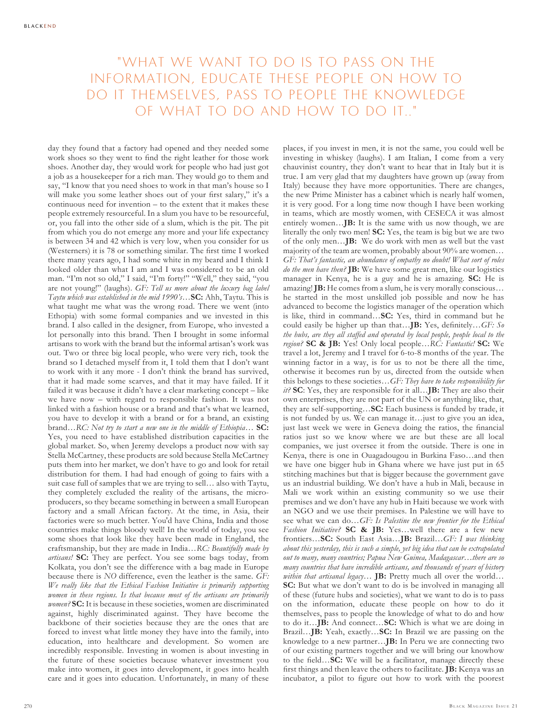## "WHAT WE WANT TO DO IS TO PASS ON THE INFORMATION, EDUCATE THESE PEOPLE ON HOW TO DO IT THEMSELVES, PASS TO PEOPLE THE KNOWLEDGE OF WHAT TO DO AND HOW TO DO IT.."

day they found that a factory had opened and they needed some work shoes so they went to find the right leather for those work shoes. Another day, they would work for people who had just got a job as a housekeeper for a rich man. They would go to them and say, "I know that you need shoes to work in that man's house so I will make you some leather shoes out of your first salary," it's a continuous need for invention – to the extent that it makes these people extremely resourceful. In a slum you have to be resourceful, or, you fall into the other side of a slum, which is the pit. The pit from which you do not emerge any more and your life expectancy is between 34 and 42 which is very low, when you consider for us (Westerners) it is 78 or something similar. The first time I worked there many years ago, I had some white in my beard and I think I looked older than what I am and I was considered to be an old man. "I'm not so old," I said, "I'm forty!" "Well," they said, "you are not young!" (laughs). *GF: Tell us more about the luxury bag label Taytu which was established in the mid 1990's…***SC:** Ahh, Taytu. This is what taught me what was the wrong road. There we went (into Ethopia) with some formal companies and we invested in this brand. I also called in the designer, from Europe, who invested a lot personally into this brand. Then I brought in some informal artisans to work with the brand but the informal artisan's work was out. Two or three big local people, who were very rich, took the brand so I detached myself from it, I told them that I don't want to work with it any more - I don't think the brand has survived, that it had made some scarves, and that it may have failed. If it failed it was because it didn't have a clear marketing concept – like we have now – with regard to responsible fashion. It was not linked with a fashion house or a brand and that's what we learned, you have to develop it with a brand or for a brand, an existing brand…*RC: Not try to start a new one in the middle of Ethiopia…* **SC:** Yes, you need to have established distribution capacities in the global market. So, when Jeremy develops a product now with say Stella McCartney, these products are sold because Stella McCartney puts them into her market, we don't have to go and look for retail distribution for them. I had had enough of going to fairs with a suit case full of samples that we are trying to sell… also with Taytu, they completely excluded the reality of the artisans, the microproducers, so they became something in between a small European factory and a small African factory. At the time, in Asia, their factories were so much better. You'd have China, India and those countries make things bloody well! In the world of today, you see some shoes that look like they have been made in England, the craftsmanship, but they are made in India…*RC: Beautifully made by artisans!* **SC:** They are perfect. You see some bags today, from Kolkata, you don't see the difference with a bag made in Europe because there is *NO* difference, even the leather is the same. *GF: We really like that the Ethical Fashion Initiative is primarily supporting*  women in these regions. Is that because most of the artisans are primarily *women?* **SC:** It is because in these societies, women are discriminated against, highly discriminated against. They have become the backbone of their societies because they are the ones that are forced to invest what little money they have into the family, into education, into healthcare and development. So women are incredibly responsible. Investing in women is about investing in the future of these societies because whatever investment you make into women, it goes into development, it goes into health care and it goes into education. Unfortunately, in many of these

places, if you invest in men, it is not the same, you could well be investing in whiskey (laughs). I am Italian, I come from a very chauvinist country, they don't want to hear that in Italy but it is true. I am very glad that my daughters have grown up (away from Italy) because they have more opportunities. There are changes, the new Prime Minister has a cabinet which is nearly half women, it is very good. For a long time now though I have been working in teams, which are mostly women, with CESECA it was almost entirely women…**JB:** It is the same with us now though, we are literally the only two men! **SC:** Yes, the team is big but we are two of the only men…**JB:** We do work with men as well but the vast majority of the team are women, probably about 90% are women… *GF: That's fantastic, an abundance of empathy no doubt! What sort of roles do the men have then?* **JB:** We have some great men, like our logistics manager in Kenya, he is a guy and he is amazing. **SC:** He is amazing! **JB:** He comes from a slum, he is very morally conscious… he started in the most unskilled job possible and now he has advanced to become the logistics manager of the operation which is like, third in command…**SC:** Yes, third in command but he could easily be higher up than that…**JB:** Yes, definitely…*GF: So the hubs, are they all staffed and operated by local people, people local to the region?* **SC & JB:** Yes! Only local people…*RC: Fantastic!* **SC:** We travel a lot, Jeremy and I travel for 6-to-8 months of the year. The winning factor in a way, is for us to not be there all the time, otherwise it becomes run by us, directed from the outside when this belongs to these societies…*GF: They have to take responsibility for it?* **SC**: Yes, they are responsible for it all…**JB:** They are also their own enterprises, they are not part of the UN or anything like, that, they are self-supporting…**SC:** Each business is funded by trade, it is not funded by us. We can manage it…just to give you an idea, just last week we were in Geneva doing the ratios, the financial ratios just so we know where we are but these are all local companies, we just oversee it from the outside. There is one in Kenya, there is one in Ouagadougou in Burkina Faso…and then we have one bigger hub in Ghana where we have just put in 65 stitching machines but that is bigger because the government gave us an industrial building. We don't have a hub in Mali, because in Mali we work within an existing community so we use their premises and we don't have any hub in Haiti because we work with an NGO and we use their premises. In Palestine we will have to see what we can do…*GF: Is Palestine the new frontier for the Ethical Fashion Initiative?* **SC & JB:** Yes…well there are a few new frontiers…**SC:** South East Asia…**JB:** Brazil…*GF: I was thinking about this yesterday, this is such a simple, yet big idea that can be extrapolated out to many, many countries; Papua New Guinea, Madagascar…there are so many countries that have incredible artisans, and thousands of years of history within that artisanal legacy…* **JB:** Pretty much all over the world… **SC:** But what we don't want to do is be involved in managing all of these (future hubs and societies), what we want to do is to pass on the information, educate these people on how to do it themselves, pass to people the knowledge of what to do and how to do it…**JB:** And connect…**SC:** Which is what we are doing in Brazil…**JB:** Yeah, exactly…**SC:** In Brazil we are passing on the knowledge to a new partner…**JB:** In Peru we are connecting two of our existing partners together and we will bring our knowhow to the field…**SC:** We will be a facilitator, manage directly these first things and then leave the others to facilitate. **JB:** Kenya was an incubator, a pilot to figure out how to work with the poorest